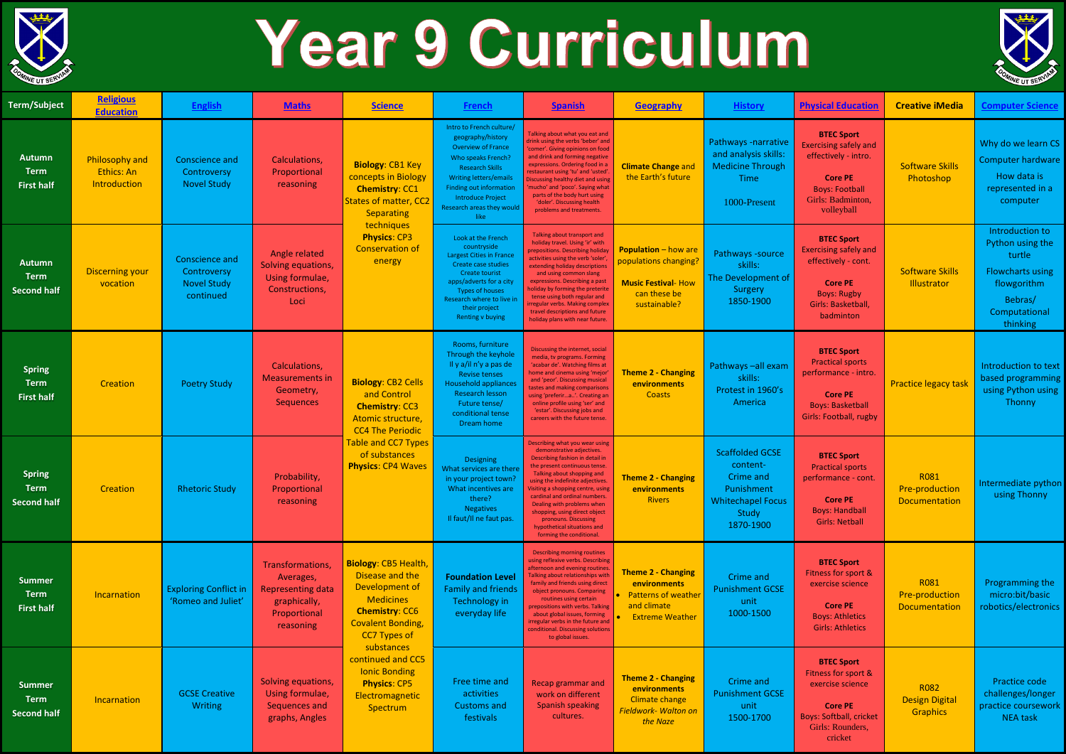

## Year 9 Curriculum

| <b>Term/Subject</b>                                | <b>Religious</b><br><b>Education</b>         | <b>English</b>                                                   | <b>Maths</b>                                                                                           | <b>Science</b>                                                                                                                                                                                                                                                                    | French                                                                                                                                                                                                                                      | <b>Spanish</b>                                                                                                                                                                                                                                                                                                                                                                                                           | <b>Geography</b>                                                                                                        | <b>History</b>                                                                                                  | <b>Physical Education</b>                                                                                                                                 | <b>Creative iMedia</b>                                | <b>Computer Science</b>                                                                                                         |
|----------------------------------------------------|----------------------------------------------|------------------------------------------------------------------|--------------------------------------------------------------------------------------------------------|-----------------------------------------------------------------------------------------------------------------------------------------------------------------------------------------------------------------------------------------------------------------------------------|---------------------------------------------------------------------------------------------------------------------------------------------------------------------------------------------------------------------------------------------|--------------------------------------------------------------------------------------------------------------------------------------------------------------------------------------------------------------------------------------------------------------------------------------------------------------------------------------------------------------------------------------------------------------------------|-------------------------------------------------------------------------------------------------------------------------|-----------------------------------------------------------------------------------------------------------------|-----------------------------------------------------------------------------------------------------------------------------------------------------------|-------------------------------------------------------|---------------------------------------------------------------------------------------------------------------------------------|
| <b>Autumn</b><br><b>Term</b><br><b>First half</b>  | Philosophy and<br>Ethics: An<br>Introduction | Conscience and<br>Controversy<br><b>Novel Study</b>              | Calculations,<br>Proportional<br>reasoning                                                             | <b>Biology: CB1 Key</b><br>concepts in Biology<br><b>Chemistry: CC1</b><br>States of matter, CC2<br><b>Separating</b><br>techniques<br><b>Physics: CP3</b><br><b>Conservation of</b><br>energy                                                                                    | Intro to French culture/<br>geography/history<br><b>Overview of France</b><br>Who speaks French?<br><b>Research Skills</b><br>Writing letters/emails<br>Finding out information<br>Introduce Project<br>Research areas they would<br>like   | Talking about what you eat and<br>drink using the verbs 'beber' and<br>'comer'. Giving opinions on food<br>and drink and forming negative<br>expressions. Ordering food in a<br>restaurant using 'tu' and 'usted'<br>Discussing healthy diet and using<br>'mucho' and 'poco'. Saying what<br>parts of the body hurt using<br>'doler'. Discussing health<br>problems and treatments.                                      | <b>Climate Change and</b><br>the Earth's future                                                                         | Pathways -narrative<br>and analysis skills:<br><b>Medicine Through</b><br>Time<br>1000-Present                  | <b>BTEC Sport</b><br><b>Exercising safely and</b><br>effectively - intro.<br><b>Core PE</b><br><b>Boys: Football</b><br>Girls: Badminton,<br>volleyball   | <b>Software Skills</b><br>Photoshop                   | Why do we learn CS<br><b>Computer hardware</b><br>How data is<br>represented in a<br>computer                                   |
| Autumn<br><b>Term</b><br><b>Second half</b>        | <b>Discerning your</b><br>vocation           | Conscience and<br>Controversy<br><b>Novel Study</b><br>continued | Angle related<br>Solving equations,<br>Using formulae,<br>Constructions,<br>Loci                       |                                                                                                                                                                                                                                                                                   | Look at the French<br>countryside<br><b>Largest Cities in France</b><br>Create case studies<br>Create tourist<br>apps/adverts for a city<br><b>Types of houses</b><br>Research where to live in<br>their project<br><b>Renting v buying</b> | Talking about transport and<br>holiday travel. Using 'ir' with<br>prepositions. Describing holiday<br>activities using the verb 'soler'<br>extending holiday descriptions<br>and using common slang<br>expressions. Describing a past<br>noliday by forming the preterite<br>tense using both regular and<br>regular verbs. Making complex<br>travel descriptions and future<br>holiday plans with near future.          | <b>Population</b> – how are<br>populations changing?<br><b>Music Festival- How</b><br>can these be<br>sustainable?      | Pathways - source<br>skills:<br>The Development of<br>Surgery<br>1850-1900                                      | <b>BTEC Sport</b><br><b>Exercising safely and</b><br>effectively - cont.<br><b>Core PE</b><br><b>Boys: Rugby</b><br><b>Girls: Basketball</b><br>badminton | <b>Software Skills</b><br>Illustrator                 | Introduction to<br>Python using the<br>turtle<br><b>Flowcharts using</b><br>flowgorithm<br>Bebras/<br>Computational<br>thinking |
| <b>Spring</b><br><b>Term</b><br><b>First half</b>  | Creation                                     | <b>Poetry Study</b>                                              | Calculations,<br><b>Measurements in</b><br>Geometry,<br><b>Sequences</b>                               | <b>Biology: CB2 Cells</b><br>and Control<br><b>Chemistry: CC3</b><br>Atomic structure,<br><b>CC4 The Periodic</b><br>Table and CC7 Types<br>of substances<br><b>Physics: CP4 Waves</b>                                                                                            | Rooms, furniture<br>Through the keyhole<br>Il y a/il n'y a pas de<br><b>Revise tenses</b><br><b>Household appliances</b><br>Research lesson<br>Future tense/<br>conditional tense<br>Dream home                                             | Discussing the internet, social<br>media, tv programs. Forming<br>'acabar de'. Watching films at<br>home and cinema using 'mejor<br>and 'peor'. Discussing musical<br>tastes and making comparisons<br>using 'preferira'. Creating an<br>online profile using 'ser' and<br>'estar'. Discussing jobs and<br>careers with the future tense.                                                                                | <b>Theme 2 - Changing</b><br>environments<br>Coasts                                                                     | Pathways -all exam<br>skills:<br>Protest in 1960's<br>America                                                   | <b>BTEC Sport</b><br><b>Practical sports</b><br>performance - intro.<br><b>Core PE</b><br><b>Boys: Basketball</b><br>Girls: Football, rugby               | <b>Practice legacy task</b>                           | Introduction to text<br>based programming<br>using Python using<br>Thonny                                                       |
| <b>Spring</b><br><b>Term</b><br><b>Second half</b> | Creation                                     | <b>Rhetoric Study</b>                                            | Probability,<br>Proportional<br>reasoning                                                              |                                                                                                                                                                                                                                                                                   | <b>Designing</b><br>What services are there<br>in your project town?<br>What incentives are<br>there?<br><b>Negatives</b><br>Il faut/Il ne faut pas.                                                                                        | Describing what you wear using<br>demonstrative adjectives.<br>Describing fashion in detail in<br>the present continuous tense.<br>Talking about shopping and<br>using the indefinite adjectives<br>Visiting a shopping centre, using<br>cardinal and ordinal numbers.<br>Dealing with problems when<br>shopping, using direct object<br>pronouns. Discussing<br>hypothetical situations and<br>forming the conditional. | <b>Theme 2 - Changing</b><br>environments<br><b>Rivers</b>                                                              | <b>Scaffolded GCSE</b><br>content-<br>Crime and<br>Punishment<br><b>Whitechapel Focus</b><br>Study<br>1870-1900 | <b>BTEC Sport</b><br><b>Practical sports</b><br>performance - cont.<br><b>Core PE</b><br><b>Boys: Handball</b><br><b>Girls: Netball</b>                   | <b>R081</b><br><b>Pre-production</b><br>Documentation | Intermediate python<br>using Thonny                                                                                             |
| <b>Summer</b><br><b>Term</b><br><b>First half</b>  | Incarnation                                  | <b>Exploring Conflict in</b><br>'Romeo and Juliet'               | Transformations,<br>Averages,<br><b>Representing data</b><br>graphically,<br>Proportional<br>reasoning | <b>Biology: CB5 Health,</b><br>Disease and the<br>Development of<br><b>Medicines</b><br><b>Chemistry: CC6</b><br><b>Covalent Bonding,</b><br><b>CC7 Types of</b><br>substances<br>continued and CC5<br><b>Ionic Bonding</b><br><b>Physics: CP5</b><br>Electromagnetic<br>Spectrum | <b>Foundation Level</b><br><b>Family and friends</b><br>Technology in<br>everyday life                                                                                                                                                      | Describing morning routines<br>using reflexive verbs. Describing<br>afternoon and evening routines.<br>Talking about relationships with<br>family and friends using direct<br>object pronouns. Comparing<br>routines using certain<br>prepositions with verbs. Talking<br>about global issues, forming<br>irregular verbs in the future and<br>conditional. Discussing solutions<br>to global issues.                    | <b>Theme 2 - Changing</b><br><b>environments</b><br><b>Patterns of weather</b><br>and climate<br><b>Extreme Weather</b> | Crime and<br><b>Punishment GCSE</b><br>unit<br>1000-1500                                                        | <b>BTEC Sport</b><br>Fitness for sport &<br>exercise science<br><b>Core PE</b><br><b>Boys: Athletics</b><br><b>Girls: Athletics</b>                       | R081<br><b>Pre-production</b><br>Documentation        | Programming the<br>micro:bit/basic<br>robotics/electronics                                                                      |
| <b>Summer</b><br><b>Term</b><br><b>Second half</b> | Incarnation                                  | <b>GCSE Creative</b><br><b>Writing</b>                           | Solving equations,<br>Using formulae,<br>Sequences and<br>graphs, Angles                               |                                                                                                                                                                                                                                                                                   | Free time and<br>activities<br><b>Customs and</b><br>festivals                                                                                                                                                                              | Recap grammar and<br>work on different<br><b>Spanish speaking</b><br>cultures.                                                                                                                                                                                                                                                                                                                                           | <b>Theme 2 - Changing</b><br>environments<br><b>Climate change</b><br>Fieldwork- Walton on<br>the Naze                  | Crime and<br><b>Punishment GCSE</b><br>unit<br>1500-1700                                                        | <b>BTEC Sport</b><br>Fitness for sport &<br>exercise science<br><b>Core PE</b><br><b>Boys: Softball, cricket</b><br>Girls: Rounders,<br>cricket           | R082<br><b>Design Digital</b><br><b>Graphics</b>      | Practice code<br>challenges/longer<br>practice coursework<br><b>NEA task</b>                                                    |